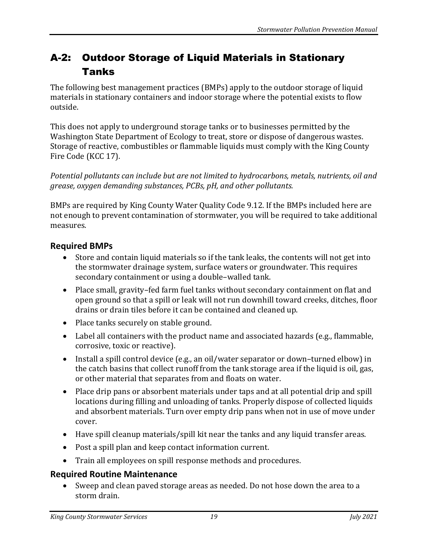## A-2: Outdoor Storage of Liquid Materials in Stationary Tanks

The following best management practices (BMPs) apply to the outdoor storage of liquid materials in stationary containers and indoor storage where the potential exists to flow outside.

This does not apply to underground storage tanks or to businesses permitted by the Washington State Department of Ecology to treat, store or dispose of dangerous wastes. Storage of reactive, combustibles or flammable liquids must comply with the King County Fire Code (KCC 17).

*Potential pollutants can include but are not limited to hydrocarbons, metals, nutrients, oil and grease, oxygen demanding substances, PCBs, pH, and other pollutants.*

BMPs are required by King County Water Quality Code 9.12. If the BMPs included here are not enough to prevent contamination of stormwater, you will be required to take additional measures.

## **Required BMPs**

- Store and contain liquid materials so if the tank leaks, the contents will not get into the stormwater drainage system, surface waters or groundwater. This requires secondary containment or using a double–walled tank.
- Place small, gravity–fed farm fuel tanks without secondary containment on flat and open ground so that a spill or leak will not run downhill toward creeks, ditches, floor drains or drain tiles before it can be contained and cleaned up.
- Place tanks securely on stable ground.
- Label all containers with the product name and associated hazards (e.g., flammable, corrosive, toxic or reactive).
- Install a spill control device (e.g., an oil/water separator or down–turned elbow) in the catch basins that collect runoff from the tank storage area if the liquid is oil, gas, or other material that separates from and floats on water.
- Place drip pans or absorbent materials under taps and at all potential drip and spill locations during filling and unloading of tanks. Properly dispose of collected liquids and absorbent materials. Turn over empty drip pans when not in use of move under cover.
- Have spill cleanup materials/spill kit near the tanks and any liquid transfer areas.
- Post a spill plan and keep contact information current.
- Train all employees on spill response methods and procedures.

## **Required Routine Maintenance**

• Sweep and clean paved storage areas as needed. Do not hose down the area to a storm drain.